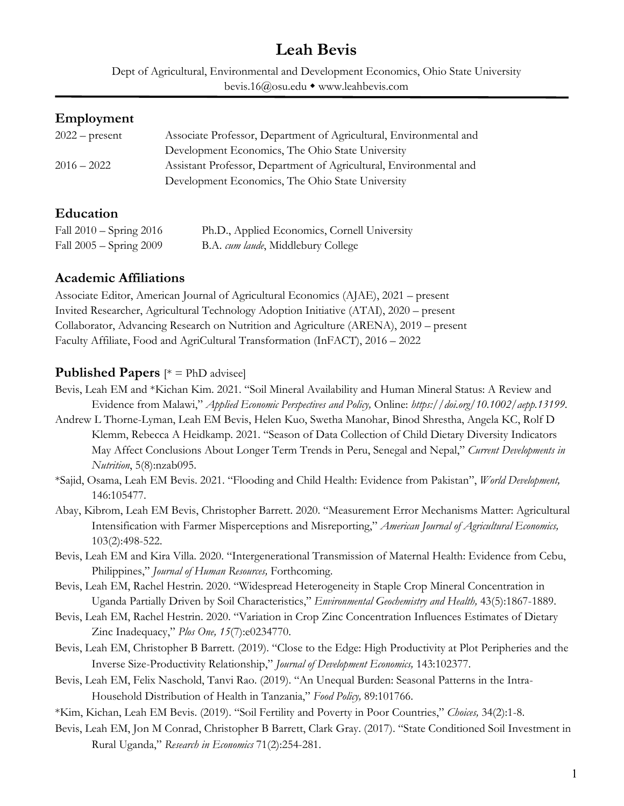# **Leah Bevis**

Dept of Agricultural, Environmental and Development Economics, Ohio State University bevis.16@osu.edu • www.leahbevis.com

#### **Employment**

| $2022$ – present | Associate Professor, Department of Agricultural, Environmental and |
|------------------|--------------------------------------------------------------------|
|                  | Development Economics, The Ohio State University                   |
| $2016 - 2022$    | Assistant Professor, Department of Agricultural, Environmental and |
|                  | Development Economics, The Ohio State University                   |

## **Education**

| Fall $2010 -$ Spring $2016$ | Ph.D., Applied Economics, Cornell University |
|-----------------------------|----------------------------------------------|
| Fall 2005 – Spring 2009     | B.A. cum laude, Middlebury College           |

## **Academic Affiliations**

Associate Editor, American Journal of Agricultural Economics (AJAE), 2021 – present Invited Researcher, Agricultural Technology Adoption Initiative (ATAI), 2020 – present Collaborator, Advancing Research on Nutrition and Agriculture (ARENA), 2019 – present Faculty Affiliate, Food and AgriCultural Transformation (InFACT), 2016 – 2022

## **Published Papers** [\* = PhD advisee]

- Bevis, Leah EM and \*Kichan Kim. 2021. "Soil Mineral Availability and Human Mineral Status: A Review and Evidence from Malawi," *Applied Economic Perspectives and Policy,* Online: *https://doi.org/10.1002/aepp.13199*.
- Andrew L Thorne-Lyman, Leah EM Bevis, Helen Kuo, Swetha Manohar, Binod Shrestha, Angela KC, Rolf D Klemm, Rebecca A Heidkamp. 2021. "Season of Data Collection of Child Dietary Diversity Indicators May Affect Conclusions About Longer Term Trends in Peru, Senegal and Nepal," *Current Developments in Nutrition*, 5(8):nzab095.
- \*Sajid, Osama, Leah EM Bevis. 2021. "Flooding and Child Health: Evidence from Pakistan", *World Development,* 146:105477.
- Abay, Kibrom, Leah EM Bevis, Christopher Barrett. 2020. "Measurement Error Mechanisms Matter: Agricultural Intensification with Farmer Misperceptions and Misreporting," *American Journal of Agricultural Economics,* 103(2):498-522.
- Bevis, Leah EM and Kira Villa. 2020. "Intergenerational Transmission of Maternal Health: Evidence from Cebu, Philippines," *Journal of Human Resources,* Forthcoming.
- Bevis, Leah EM, Rachel Hestrin. 2020. "Widespread Heterogeneity in Staple Crop Mineral Concentration in Uganda Partially Driven by Soil Characteristics," *Environmental Geochemistry and Health,* 43(5):1867-1889.
- Bevis, Leah EM, Rachel Hestrin. 2020. "Variation in Crop Zinc Concentration Influences Estimates of Dietary Zinc Inadequacy," *Plos One, 15*(7):e0234770.
- Bevis, Leah EM, Christopher B Barrett. (2019). "Close to the Edge: High Productivity at Plot Peripheries and the Inverse Size-Productivity Relationship," *Journal of Development Economics,* 143:102377.
- Bevis, Leah EM, Felix Naschold, Tanvi Rao. (2019). "An Unequal Burden: Seasonal Patterns in the Intra-Household Distribution of Health in Tanzania," *Food Policy,* 89:101766.
- \*Kim, Kichan, Leah EM Bevis. (2019). "Soil Fertility and Poverty in Poor Countries," *Choices,* 34(2):1-8.
- Bevis, Leah EM, Jon M Conrad, Christopher B Barrett, Clark Gray. (2017). "State Conditioned Soil Investment in Rural Uganda," *Research in Economics* 71(2):254-281.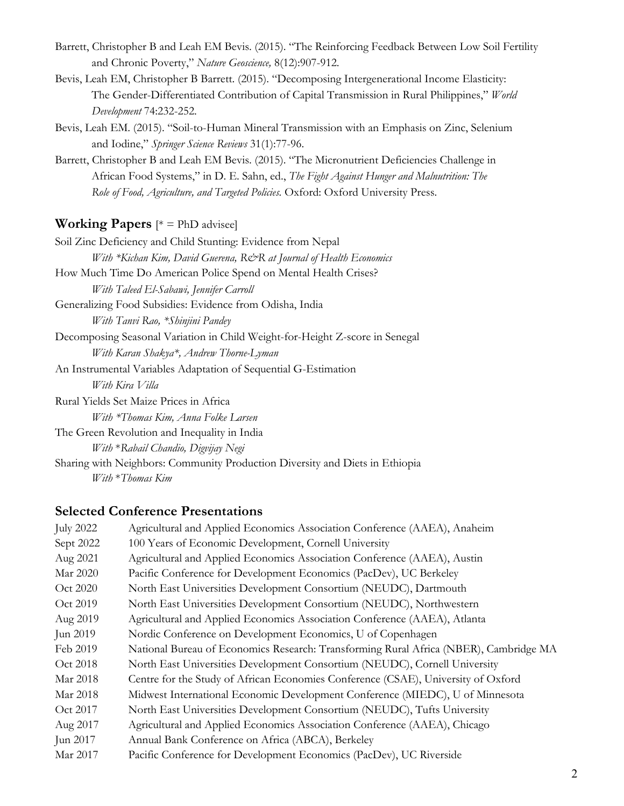- Barrett, Christopher B and Leah EM Bevis. (2015). "The Reinforcing Feedback Between Low Soil Fertility and Chronic Poverty," *Nature Geoscience,* 8(12):907-912.
- Bevis, Leah EM, Christopher B Barrett. (2015). "Decomposing Intergenerational Income Elasticity: The Gender-Differentiated Contribution of Capital Transmission in Rural Philippines," *World Development* 74:232-252.
- Bevis, Leah EM. (2015). "Soil-to-Human Mineral Transmission with an Emphasis on Zinc, Selenium and Iodine," *Springer Science Reviews* 31(1):77-96.
- Barrett, Christopher B and Leah EM Bevis. (2015). "The Micronutrient Deficiencies Challenge in African Food Systems," in D. E. Sahn, ed., *The Fight Against Hunger and Malnutrition: The Role of Food, Agriculture, and Targeted Policies.* Oxford: Oxford University Press.

#### **Working Papers**  $[{}^* =$  PhD advisee]

| Soil Zinc Deficiency and Child Stunting: Evidence from Nepal                 |
|------------------------------------------------------------------------------|
| With *Kichan Kim, David Guerena, R&R at Journal of Health Economics          |
| How Much Time Do American Police Spend on Mental Health Crises?              |
| With Taleed El-Sabawi, Jennifer Carroll                                      |
| Generalizing Food Subsidies: Evidence from Odisha, India                     |
| With Tanvi Rao, *Shinjini Pandey                                             |
| Decomposing Seasonal Variation in Child Weight-for-Height Z-score in Senegal |
| With Karan Shakya*, Andrew Thorne-Lyman                                      |
| An Instrumental Variables Adaptation of Sequential G-Estimation              |
| With Kira Villa                                                              |
| Rural Yields Set Maize Prices in Africa                                      |
| With *Thomas Kim, Anna Folke Larsen                                          |
| The Green Revolution and Inequality in India                                 |
| With *Rabail Chandio, Digvijay Negi                                          |
| Sharing with Neighbors: Community Production Diversity and Diets in Ethiopia |
|                                                                              |

#### *With* \**Thomas Kim*

#### **Selected Conference Presentations**

| <b>July 2022</b> | Agricultural and Applied Economics Association Conference (AAEA), Anaheim             |
|------------------|---------------------------------------------------------------------------------------|
| Sept 2022        | 100 Years of Economic Development, Cornell University                                 |
| Aug 2021         | Agricultural and Applied Economics Association Conference (AAEA), Austin              |
| Mar 2020         | Pacific Conference for Development Economics (PacDev), UC Berkeley                    |
| Oct 2020         | North East Universities Development Consortium (NEUDC), Dartmouth                     |
| Oct 2019         | North East Universities Development Consortium (NEUDC), Northwestern                  |
| Aug 2019         | Agricultural and Applied Economics Association Conference (AAEA), Atlanta             |
| Jun 2019         | Nordic Conference on Development Economics, U of Copenhagen                           |
| Feb 2019         | National Bureau of Economics Research: Transforming Rural Africa (NBER), Cambridge MA |
| Oct 2018         | North East Universities Development Consortium (NEUDC), Cornell University            |
| Mar 2018         | Centre for the Study of African Economies Conference (CSAE), University of Oxford     |
| Mar 2018         | Midwest International Economic Development Conference (MIEDC), U of Minnesota         |
| Oct 2017         | North East Universities Development Consortium (NEUDC), Tufts University              |
| Aug 2017         | Agricultural and Applied Economics Association Conference (AAEA), Chicago             |
| Jun 2017         | Annual Bank Conference on Africa (ABCA), Berkeley                                     |
| Mar 2017         | Pacific Conference for Development Economics (PacDev), UC Riverside                   |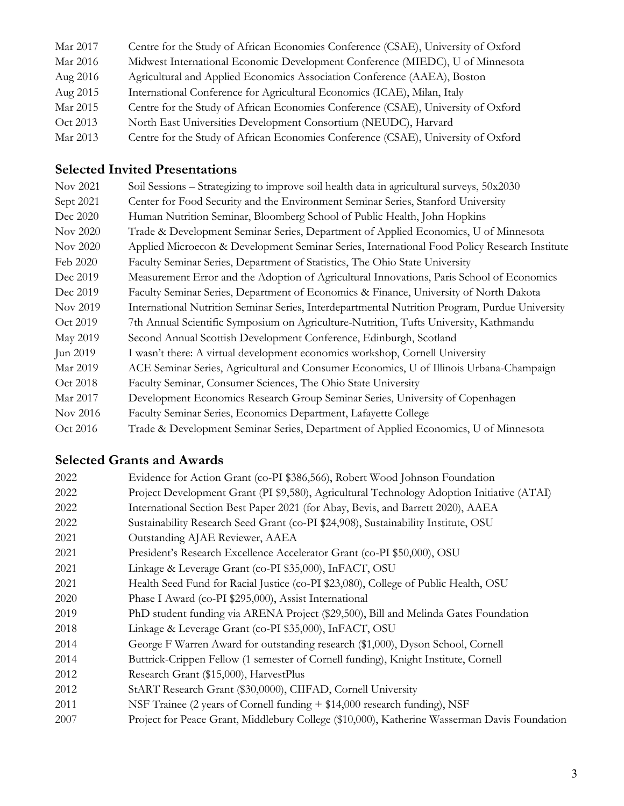| Mar 2017 | Centre for the Study of African Economies Conference (CSAE), University of Oxford |
|----------|-----------------------------------------------------------------------------------|
| Mar 2016 | Midwest International Economic Development Conference (MIEDC), U of Minnesota     |
| Aug 2016 | Agricultural and Applied Economics Association Conference (AAEA), Boston          |
| Aug 2015 | International Conference for Agricultural Economics (ICAE), Milan, Italy          |
| Mar 2015 | Centre for the Study of African Economies Conference (CSAE), University of Oxford |
| Oct 2013 | North East Universities Development Consortium (NEUDC), Harvard                   |
| Mar 2013 | Centre for the Study of African Economies Conference (CSAE), University of Oxford |
|          |                                                                                   |

## **Selected Invited Presentations**

| Nov 2021  | Soil Sessions – Strategizing to improve soil health data in agricultural surveys, 50x2030      |
|-----------|------------------------------------------------------------------------------------------------|
| Sept 2021 | Center for Food Security and the Environment Seminar Series, Stanford University               |
| Dec 2020  | Human Nutrition Seminar, Bloomberg School of Public Health, John Hopkins                       |
| Nov 2020  | Trade & Development Seminar Series, Department of Applied Economics, U of Minnesota            |
| Nov 2020  | Applied Microecon & Development Seminar Series, International Food Policy Research Institute   |
| Feb 2020  | Faculty Seminar Series, Department of Statistics, The Ohio State University                    |
| Dec 2019  | Measurement Error and the Adoption of Agricultural Innovations, Paris School of Economics      |
| Dec 2019  | Faculty Seminar Series, Department of Economics & Finance, University of North Dakota          |
| Nov 2019  | International Nutrition Seminar Series, Interdepartmental Nutrition Program, Purdue University |
| Oct 2019  | 7th Annual Scientific Symposium on Agriculture-Nutrition, Tufts University, Kathmandu          |
| May 2019  | Second Annual Scottish Development Conference, Edinburgh, Scotland                             |
| Jun 2019  | I wasn't there: A virtual development economics workshop, Cornell University                   |
| Mar 2019  | ACE Seminar Series, Agricultural and Consumer Economics, U of Illinois Urbana-Champaign        |
| Oct 2018  | Faculty Seminar, Consumer Sciences, The Ohio State University                                  |
| Mar 2017  | Development Economics Research Group Seminar Series, University of Copenhagen                  |
| Nov 2016  | Faculty Seminar Series, Economics Department, Lafayette College                                |
| Oct 2016  | Trade & Development Seminar Series, Department of Applied Economics, U of Minnesota            |

## **Selected Grants and Awards**

| 2022 | Evidence for Action Grant (co-PI \$386,566), Robert Wood Johnson Foundation                  |
|------|----------------------------------------------------------------------------------------------|
| 2022 | Project Development Grant (PI \$9,580), Agricultural Technology Adoption Initiative (ATAI)   |
| 2022 | International Section Best Paper 2021 (for Abay, Bevis, and Barrett 2020), AAEA              |
| 2022 | Sustainability Research Seed Grant (co-PI \$24,908), Sustainability Institute, OSU           |
| 2021 | Outstanding AJAE Reviewer, AAEA                                                              |
| 2021 | President's Research Excellence Accelerator Grant (co-PI \$50,000), OSU                      |
| 2021 | Linkage & Leverage Grant (co-PI \$35,000), InFACT, OSU                                       |
| 2021 | Health Seed Fund for Racial Justice (co-PI \$23,080), College of Public Health, OSU          |
| 2020 | Phase I Award (co-PI \$295,000), Assist International                                        |
| 2019 | PhD student funding via ARENA Project (\$29,500), Bill and Melinda Gates Foundation          |
| 2018 | Linkage & Leverage Grant (co-PI \$35,000), InFACT, OSU                                       |
| 2014 | George F Warren Award for outstanding research (\$1,000), Dyson School, Cornell              |
| 2014 | Buttrick-Crippen Fellow (1 semester of Cornell funding), Knight Institute, Cornell           |
| 2012 | Research Grant (\$15,000), HarvestPlus                                                       |
| 2012 | StART Research Grant (\$30,0000), CIIFAD, Cornell University                                 |
| 2011 | NSF Trainee (2 years of Cornell funding + \$14,000 research funding), NSF                    |
| 2007 | Project for Peace Grant, Middlebury College (\$10,000), Katherine Wasserman Davis Foundation |
|      |                                                                                              |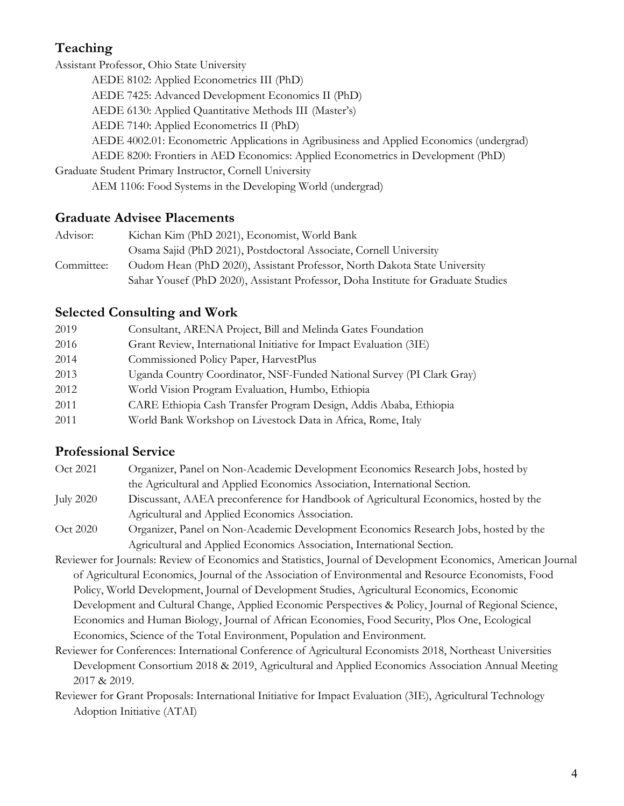## **Teaching**

Assistant Professor, Ohio State University AEDE 8102: Applied Econometrics III (PhD) AEDE 7425: Advanced Development Economics II (PhD) AEDE 6130: Applied Quantitative Methods III (Master's) AEDE 7140: Applied Econometrics II (PhD) AEDE 4002.01: Econometric Applications in Agribusiness and Applied Economics (undergrad) AEDE 8200: Frontiers in AED Economics: Applied Econometrics in Development (PhD) Graduate Student Primary Instructor, Cornell University AEM 1106: Food Systems in the Developing World (undergrad)

## **Graduate Advisee Placements**

| Advisor:   | Kichan Kim (PhD 2021), Economist, World Bank                                      |
|------------|-----------------------------------------------------------------------------------|
|            | Osama Sajid (PhD 2021), Postdoctoral Associate, Cornell University                |
| Committee: | Oudom Hean (PhD 2020), Assistant Professor, North Dakota State University         |
|            | Sahar Yousef (PhD 2020), Assistant Professor, Doha Institute for Graduate Studies |

## **Selected Consulting and Work**

| 2019 | Consultant, ARENA Project, Bill and Melinda Gates Foundation           |
|------|------------------------------------------------------------------------|
| 2016 | Grant Review, International Initiative for Impact Evaluation (3IE)     |
| 2014 | Commissioned Policy Paper, HarvestPlus                                 |
| 2013 | Uganda Country Coordinator, NSF-Funded National Survey (PI Clark Gray) |
| 2012 | World Vision Program Evaluation, Humbo, Ethiopia                       |
| 2011 | CARE Ethiopia Cash Transfer Program Design, Addis Ababa, Ethiopia      |
| 2011 | World Bank Workshop on Livestock Data in Africa, Rome, Italy           |

## **Professional Service**

- Oct 2021 Organizer, Panel on Non-Academic Development Economics Research Jobs, hosted by the Agricultural and Applied Economics Association, International Section. July 2020 Discussant, AAEA preconference for Handbook of Agricultural Economics, hosted by the Agricultural and Applied Economics Association.
- Oct 2020 Organizer, Panel on Non-Academic Development Economics Research Jobs, hosted by the Agricultural and Applied Economics Association, International Section.
- Reviewer for Journals: Review of Economics and Statistics, Journal of Development Economics, American Journal of Agricultural Economics, Journal of the Association of Environmental and Resource Economists, Food Policy, World Development, Journal of Development Studies, Agricultural Economics, Economic Development and Cultural Change, Applied Economic Perspectives & Policy, Journal of Regional Science, Economics and Human Biology, Journal of African Economies, Food Security, Plos One, Ecological Economics, Science of the Total Environment, Population and Environment.
- Reviewer for Conferences: International Conference of Agricultural Economists 2018, Northeast Universities Development Consortium 2018 & 2019, Agricultural and Applied Economics Association Annual Meeting 2017 & 2019.
- Reviewer for Grant Proposals: International Initiative for Impact Evaluation (3IE), Agricultural Technology Adoption Initiative (ATAI)